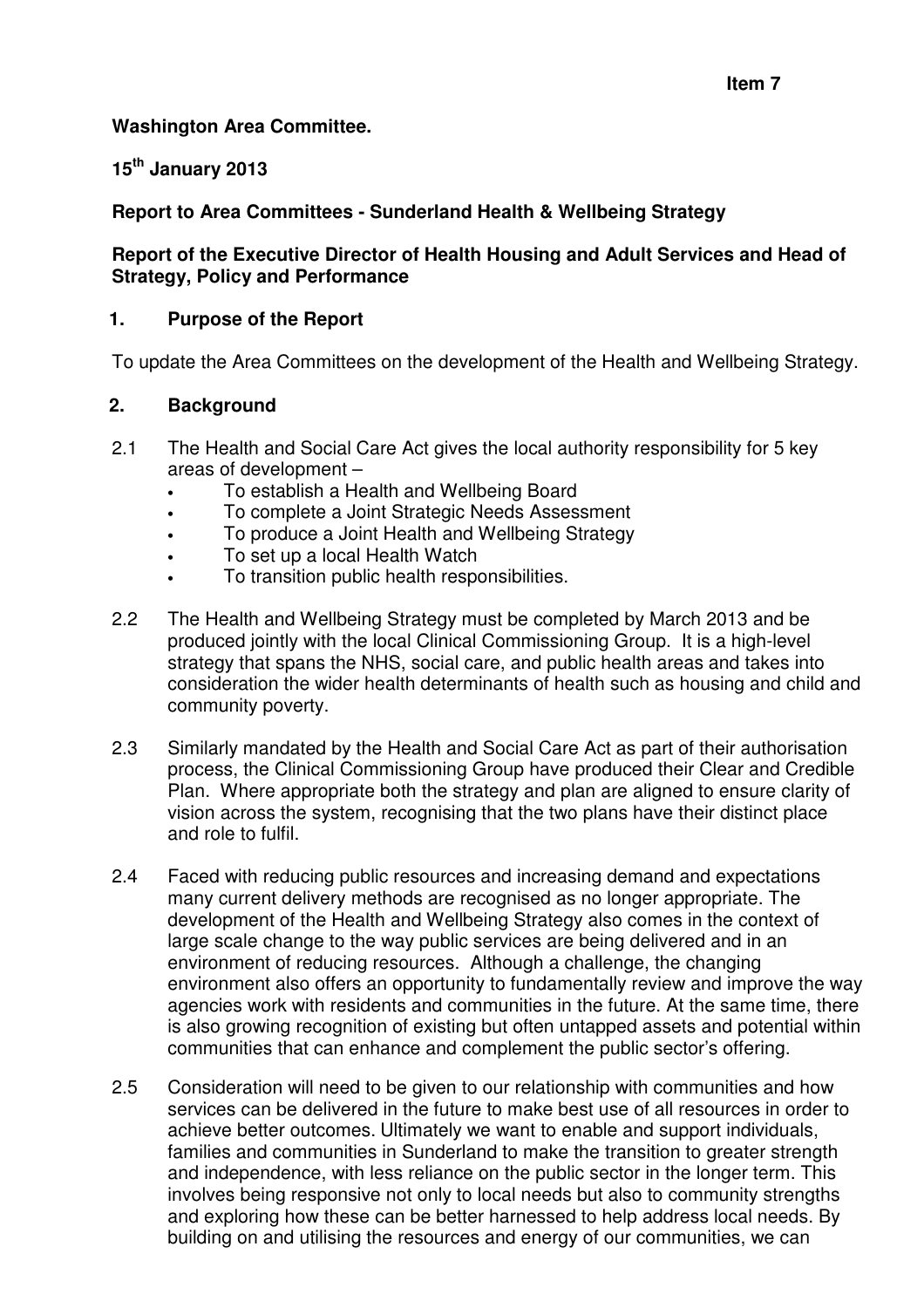#### **Washington Area Committee.**

#### **15th January 2013**

#### **Report to Area Committees - Sunderland Health & Wellbeing Strategy**

#### **Report of the Executive Director of Health Housing and Adult Services and Head of Strategy, Policy and Performance**

#### **1. Purpose of the Report**

To update the Area Committees on the development of the Health and Wellbeing Strategy.

#### **2. Background**

- 2.1 The Health and Social Care Act gives the local authority responsibility for 5 key areas of development –
	- To establish a Health and Wellbeing Board
	- To complete a Joint Strategic Needs Assessment
	- To produce a Joint Health and Wellbeing Strategy
	- To set up a local Health Watch
	- To transition public health responsibilities.
- 2.2 The Health and Wellbeing Strategy must be completed by March 2013 and be produced jointly with the local Clinical Commissioning Group. It is a high-level strategy that spans the NHS, social care, and public health areas and takes into consideration the wider health determinants of health such as housing and child and community poverty.
- 2.3 Similarly mandated by the Health and Social Care Act as part of their authorisation process, the Clinical Commissioning Group have produced their Clear and Credible Plan. Where appropriate both the strategy and plan are aligned to ensure clarity of vision across the system, recognising that the two plans have their distinct place and role to fulfil.
- 2.4 Faced with reducing public resources and increasing demand and expectations many current delivery methods are recognised as no longer appropriate. The development of the Health and Wellbeing Strategy also comes in the context of large scale change to the way public services are being delivered and in an environment of reducing resources. Although a challenge, the changing environment also offers an opportunity to fundamentally review and improve the way agencies work with residents and communities in the future. At the same time, there is also growing recognition of existing but often untapped assets and potential within communities that can enhance and complement the public sector's offering.
- 2.5 Consideration will need to be given to our relationship with communities and how services can be delivered in the future to make best use of all resources in order to achieve better outcomes. Ultimately we want to enable and support individuals, families and communities in Sunderland to make the transition to greater strength and independence, with less reliance on the public sector in the longer term. This involves being responsive not only to local needs but also to community strengths and exploring how these can be better harnessed to help address local needs. By building on and utilising the resources and energy of our communities, we can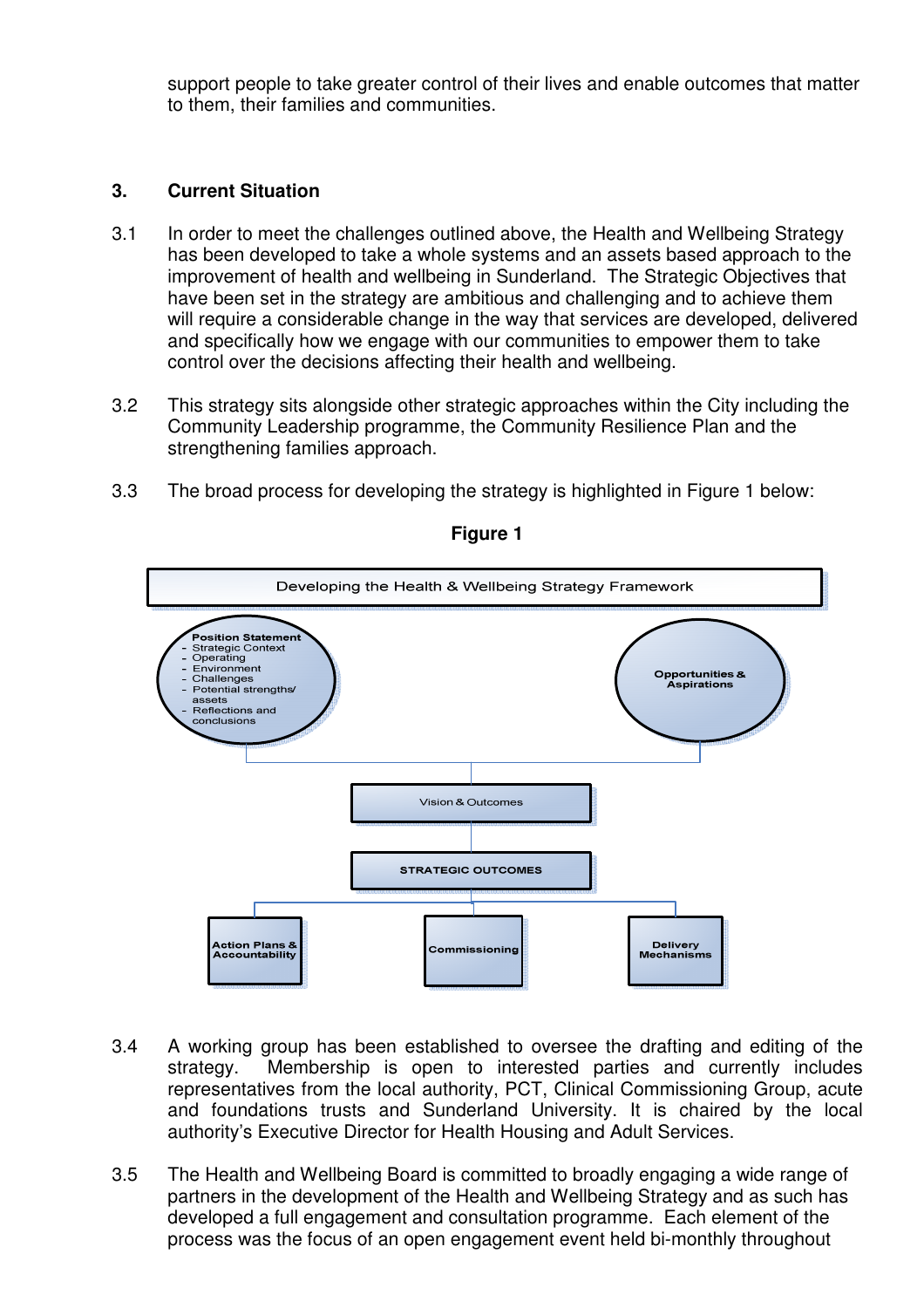support people to take greater control of their lives and enable outcomes that matter to them, their families and communities.

#### **3. Current Situation**

- 3.1 In order to meet the challenges outlined above, the Health and Wellbeing Strategy has been developed to take a whole systems and an assets based approach to the improvement of health and wellbeing in Sunderland. The Strategic Objectives that have been set in the strategy are ambitious and challenging and to achieve them will require a considerable change in the way that services are developed, delivered and specifically how we engage with our communities to empower them to take control over the decisions affecting their health and wellbeing.
- 3.2 This strategy sits alongside other strategic approaches within the City including the Community Leadership programme, the Community Resilience Plan and the strengthening families approach.
- 3.3 The broad process for developing the strategy is highlighted in Figure 1 below:



**Figure 1** 

- 3.4 A working group has been established to oversee the drafting and editing of the strategy. Membership is open to interested parties and currently includes representatives from the local authority, PCT, Clinical Commissioning Group, acute and foundations trusts and Sunderland University. It is chaired by the local authority's Executive Director for Health Housing and Adult Services.
- 3.5 The Health and Wellbeing Board is committed to broadly engaging a wide range of partners in the development of the Health and Wellbeing Strategy and as such has developed a full engagement and consultation programme. Each element of the process was the focus of an open engagement event held bi-monthly throughout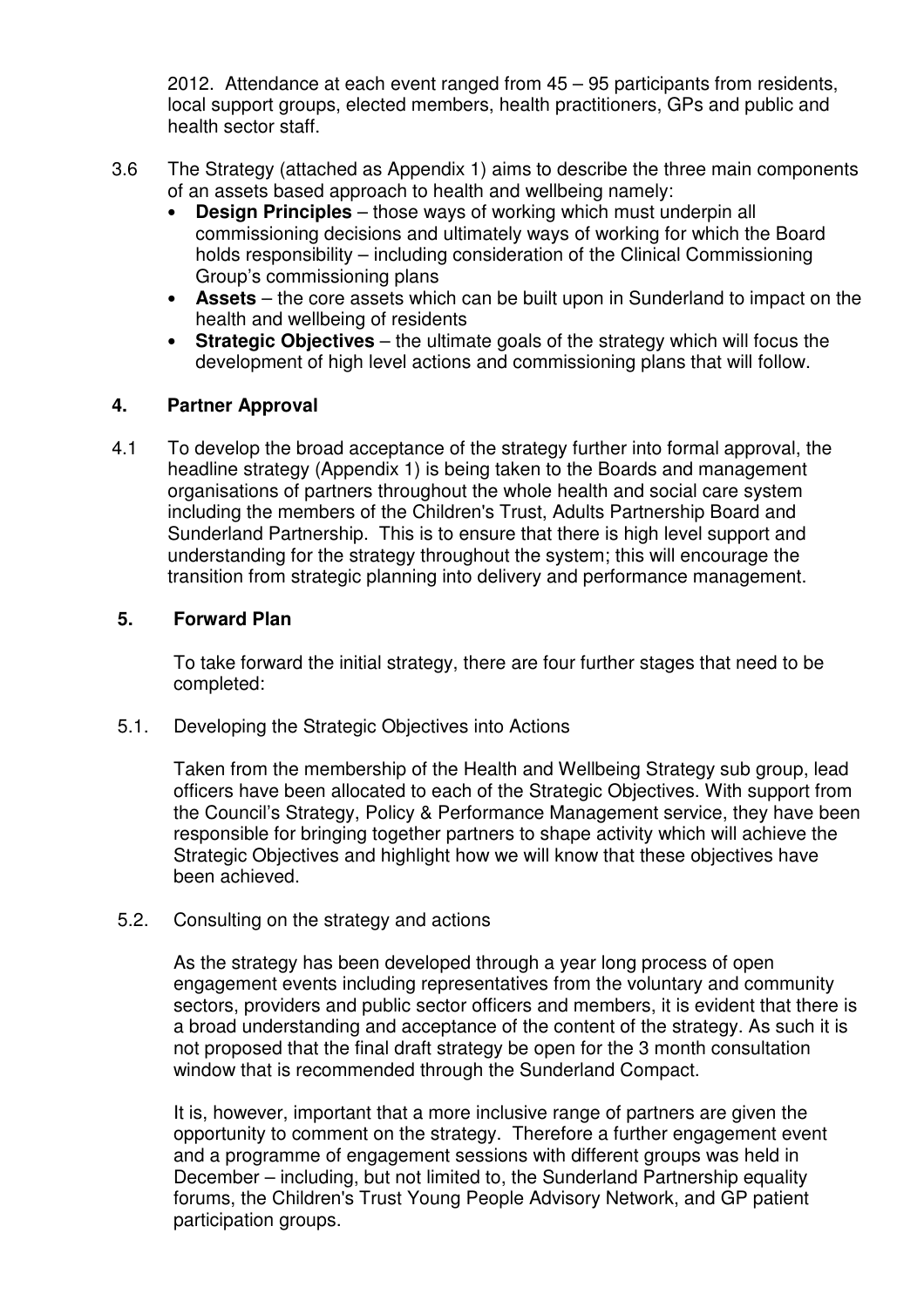2012. Attendance at each event ranged from 45 – 95 participants from residents, local support groups, elected members, health practitioners, GPs and public and health sector staff.

- 3.6 The Strategy (attached as Appendix 1) aims to describe the three main components of an assets based approach to health and wellbeing namely:
	- **Design Principles** those ways of working which must underpin all commissioning decisions and ultimately ways of working for which the Board holds responsibility – including consideration of the Clinical Commissioning Group's commissioning plans
	- **Assets** the core assets which can be built upon in Sunderland to impact on the health and wellbeing of residents
	- **Strategic Objectives** the ultimate goals of the strategy which will focus the development of high level actions and commissioning plans that will follow.

#### **4. Partner Approval**

4.1 To develop the broad acceptance of the strategy further into formal approval, the headline strategy (Appendix 1) is being taken to the Boards and management organisations of partners throughout the whole health and social care system including the members of the Children's Trust, Adults Partnership Board and Sunderland Partnership. This is to ensure that there is high level support and understanding for the strategy throughout the system; this will encourage the transition from strategic planning into delivery and performance management.

#### **5. Forward Plan**

To take forward the initial strategy, there are four further stages that need to be completed:

5.1. Developing the Strategic Objectives into Actions

Taken from the membership of the Health and Wellbeing Strategy sub group, lead officers have been allocated to each of the Strategic Objectives. With support from the Council's Strategy, Policy & Performance Management service, they have been responsible for bringing together partners to shape activity which will achieve the Strategic Objectives and highlight how we will know that these objectives have been achieved.

5.2. Consulting on the strategy and actions

As the strategy has been developed through a year long process of open engagement events including representatives from the voluntary and community sectors, providers and public sector officers and members, it is evident that there is a broad understanding and acceptance of the content of the strategy. As such it is not proposed that the final draft strategy be open for the 3 month consultation window that is recommended through the Sunderland Compact.

It is, however, important that a more inclusive range of partners are given the opportunity to comment on the strategy. Therefore a further engagement event and a programme of engagement sessions with different groups was held in December – including, but not limited to, the Sunderland Partnership equality forums, the Children's Trust Young People Advisory Network, and GP patient participation groups.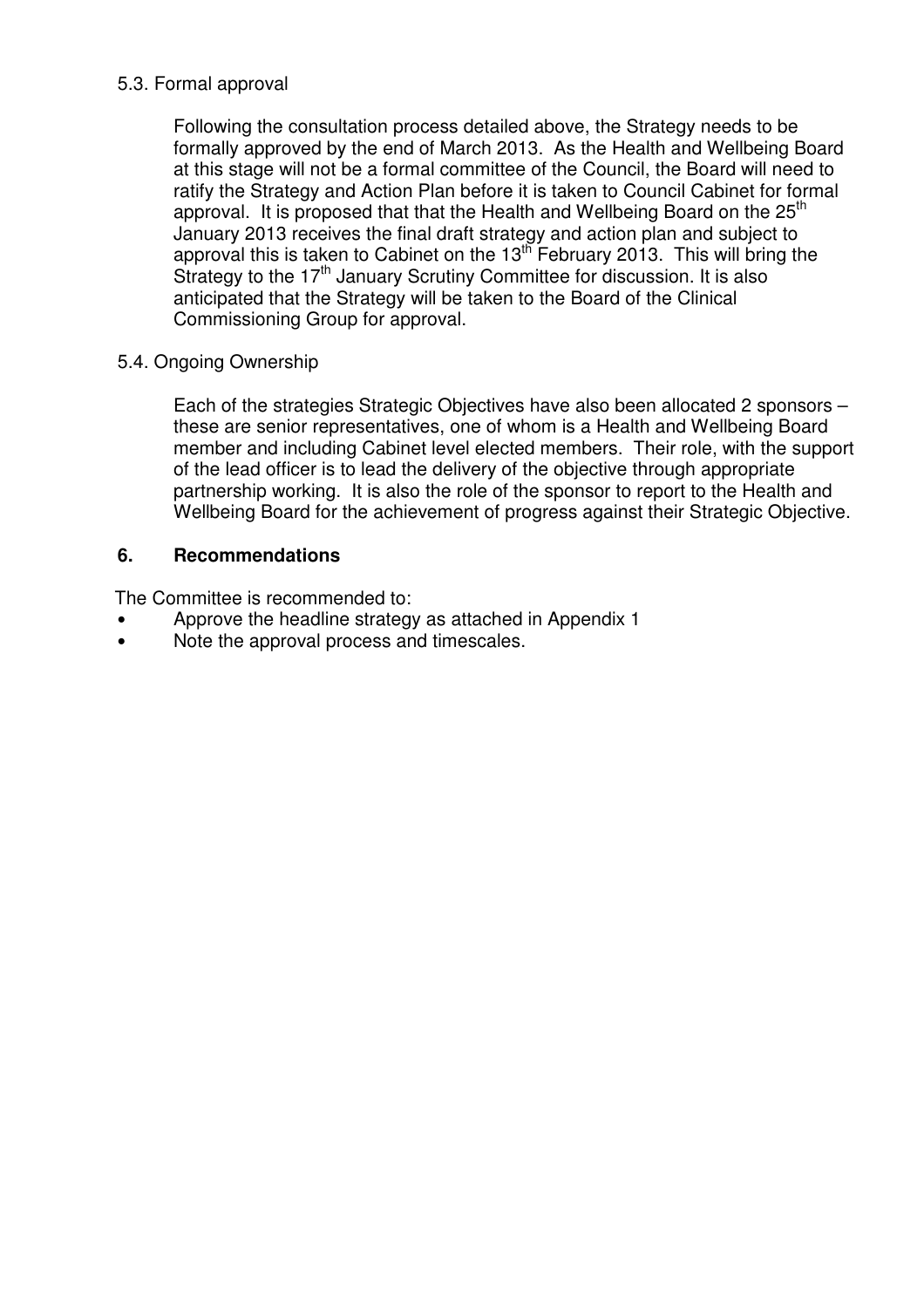#### 5.3. Formal approval

Following the consultation process detailed above, the Strategy needs to be formally approved by the end of March 2013. As the Health and Wellbeing Board at this stage will not be a formal committee of the Council, the Board will need to ratify the Strategy and Action Plan before it is taken to Council Cabinet for formal approval. It is proposed that that the Health and Wellbeing Board on the 25<sup>th</sup> January 2013 receives the final draft strategy and action plan and subject to approval this is taken to Cabinet on the 13th February 2013. This will bring the Strategy to the  $17<sup>th</sup>$  January Scrutiny Committee for discussion. It is also anticipated that the Strategy will be taken to the Board of the Clinical Commissioning Group for approval.

### 5.4. Ongoing Ownership

Each of the strategies Strategic Objectives have also been allocated 2 sponsors – these are senior representatives, one of whom is a Health and Wellbeing Board member and including Cabinet level elected members. Their role, with the support of the lead officer is to lead the delivery of the objective through appropriate partnership working. It is also the role of the sponsor to report to the Health and Wellbeing Board for the achievement of progress against their Strategic Objective.

#### **6. Recommendations**

The Committee is recommended to:

- Approve the headline strategy as attached in Appendix 1
- Note the approval process and timescales.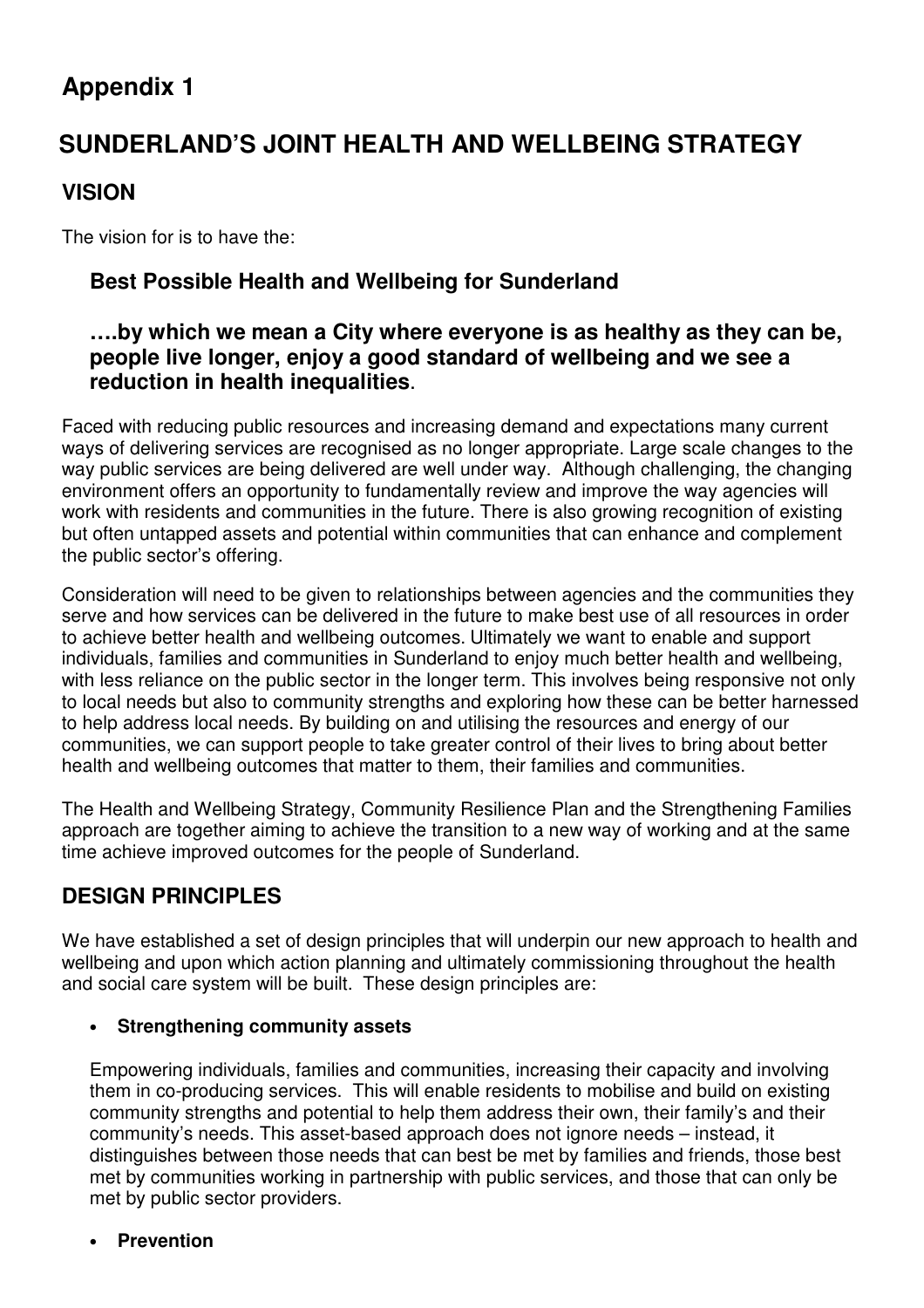# **Appendix 1**

# **SUNDERLAND'S JOINT HEALTH AND WELLBEING STRATEGY**

# **VISION**

The vision for is to have the:

# **Best Possible Health and Wellbeing for Sunderland**

# **….by which we mean a City where everyone is as healthy as they can be, people live longer, enjoy a good standard of wellbeing and we see a reduction in health inequalities**.

Faced with reducing public resources and increasing demand and expectations many current ways of delivering services are recognised as no longer appropriate. Large scale changes to the way public services are being delivered are well under way. Although challenging, the changing environment offers an opportunity to fundamentally review and improve the way agencies will work with residents and communities in the future. There is also growing recognition of existing but often untapped assets and potential within communities that can enhance and complement the public sector's offering.

Consideration will need to be given to relationships between agencies and the communities they serve and how services can be delivered in the future to make best use of all resources in order to achieve better health and wellbeing outcomes. Ultimately we want to enable and support individuals, families and communities in Sunderland to enjoy much better health and wellbeing, with less reliance on the public sector in the longer term. This involves being responsive not only to local needs but also to community strengths and exploring how these can be better harnessed to help address local needs. By building on and utilising the resources and energy of our communities, we can support people to take greater control of their lives to bring about better health and wellbeing outcomes that matter to them, their families and communities.

The Health and Wellbeing Strategy, Community Resilience Plan and the Strengthening Families approach are together aiming to achieve the transition to a new way of working and at the same time achieve improved outcomes for the people of Sunderland.

# **DESIGN PRINCIPLES**

We have established a set of design principles that will underpin our new approach to health and wellbeing and upon which action planning and ultimately commissioning throughout the health and social care system will be built. These design principles are:

#### • **Strengthening community assets**

Empowering individuals, families and communities, increasing their capacity and involving them in co-producing services. This will enable residents to mobilise and build on existing community strengths and potential to help them address their own, their family's and their community's needs. This asset-based approach does not ignore needs – instead, it distinguishes between those needs that can best be met by families and friends, those best met by communities working in partnership with public services, and those that can only be met by public sector providers.

#### • **Prevention**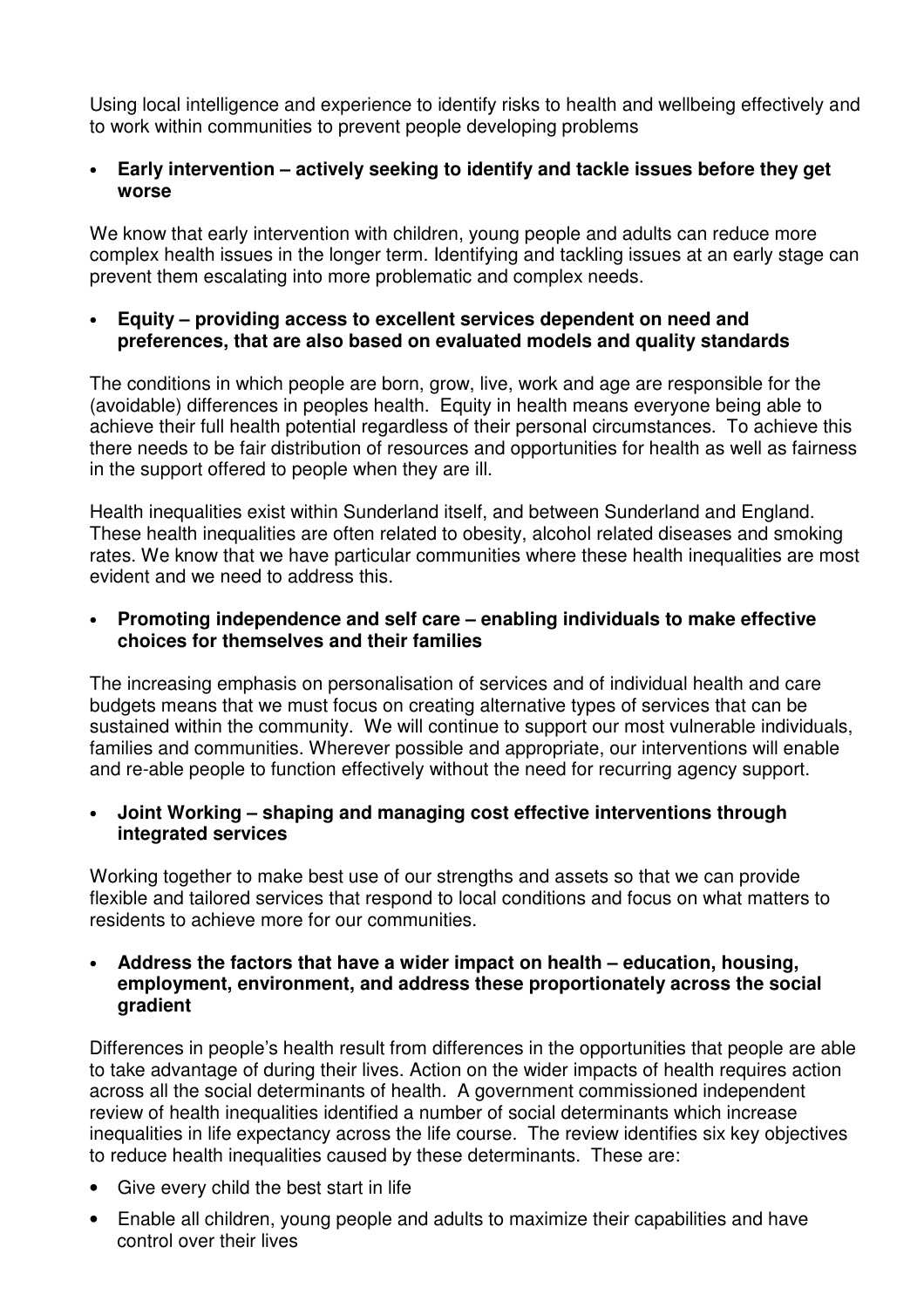Using local intelligence and experience to identify risks to health and wellbeing effectively and to work within communities to prevent people developing problems

#### • **Early intervention – actively seeking to identify and tackle issues before they get worse**

We know that early intervention with children, young people and adults can reduce more complex health issues in the longer term. Identifying and tackling issues at an early stage can prevent them escalating into more problematic and complex needs.

#### • **Equity – providing access to excellent services dependent on need and preferences, that are also based on evaluated models and quality standards**

The conditions in which people are born, grow, live, work and age are responsible for the (avoidable) differences in peoples health. Equity in health means everyone being able to achieve their full health potential regardless of their personal circumstances. To achieve this there needs to be fair distribution of resources and opportunities for health as well as fairness in the support offered to people when they are ill.

Health inequalities exist within Sunderland itself, and between Sunderland and England. These health inequalities are often related to obesity, alcohol related diseases and smoking rates. We know that we have particular communities where these health inequalities are most evident and we need to address this.

#### • **Promoting independence and self care – enabling individuals to make effective choices for themselves and their families**

The increasing emphasis on personalisation of services and of individual health and care budgets means that we must focus on creating alternative types of services that can be sustained within the community. We will continue to support our most vulnerable individuals, families and communities. Wherever possible and appropriate, our interventions will enable and re-able people to function effectively without the need for recurring agency support.

#### • **Joint Working – shaping and managing cost effective interventions through integrated services**

Working together to make best use of our strengths and assets so that we can provide flexible and tailored services that respond to local conditions and focus on what matters to residents to achieve more for our communities.

#### • **Address the factors that have a wider impact on health – education, housing, employment, environment, and address these proportionately across the social gradient**

Differences in people's health result from differences in the opportunities that people are able to take advantage of during their lives. Action on the wider impacts of health requires action across all the social determinants of health. A government commissioned independent review of health inequalities identified a number of social determinants which increase inequalities in life expectancy across the life course. The review identifies six key objectives to reduce health inequalities caused by these determinants. These are:

- Give every child the best start in life
- Enable all children, young people and adults to maximize their capabilities and have control over their lives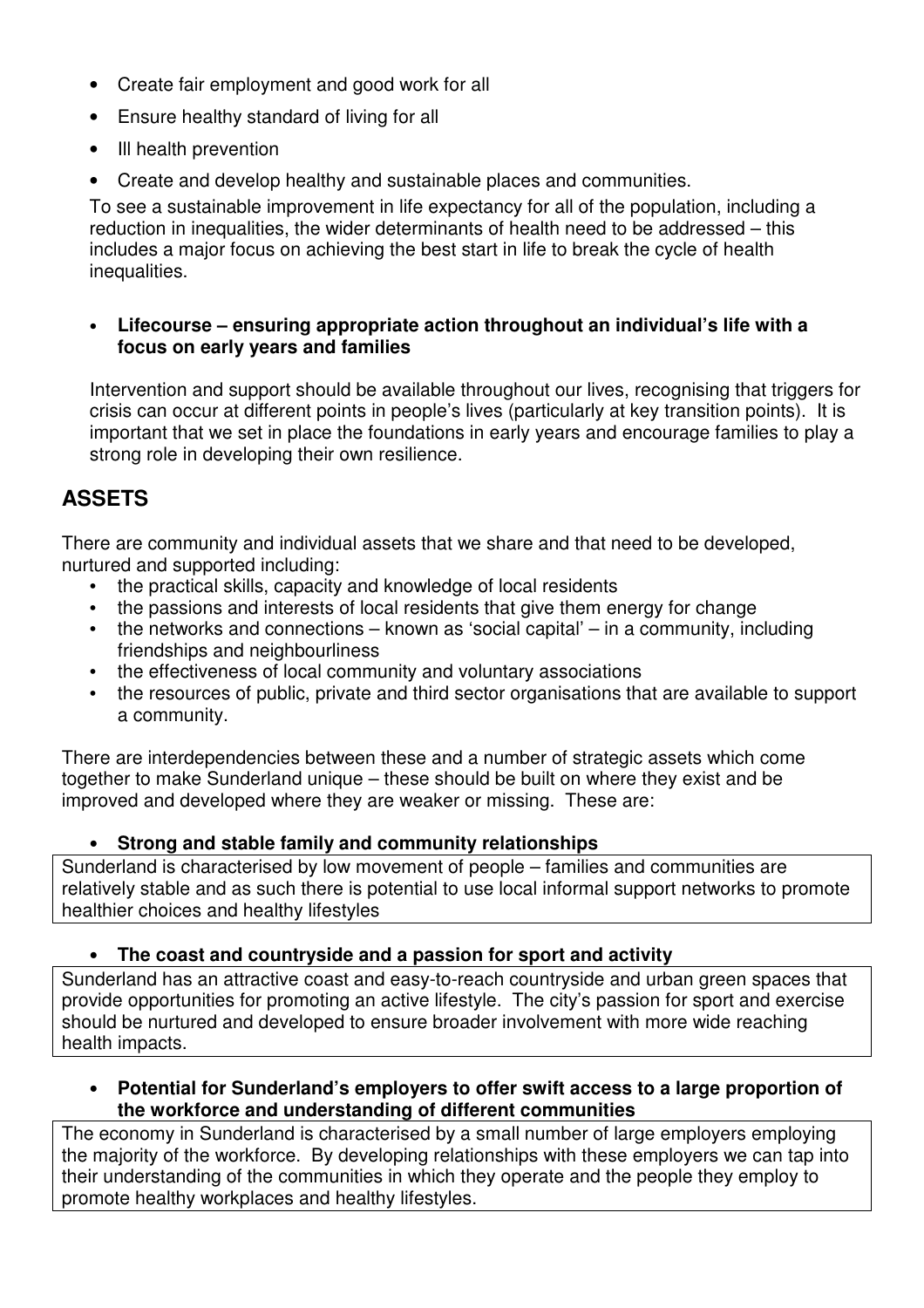- Create fair employment and good work for all
- Ensure healthy standard of living for all
- Ill health prevention
- Create and develop healthy and sustainable places and communities.

To see a sustainable improvement in life expectancy for all of the population, including a reduction in inequalities, the wider determinants of health need to be addressed – this includes a major focus on achieving the best start in life to break the cycle of health inequalities.

#### • **Lifecourse – ensuring appropriate action throughout an individual's life with a focus on early years and families**

Intervention and support should be available throughout our lives, recognising that triggers for crisis can occur at different points in people's lives (particularly at key transition points). It is important that we set in place the foundations in early years and encourage families to play a strong role in developing their own resilience.

# **ASSETS**

There are community and individual assets that we share and that need to be developed, nurtured and supported including:

- the practical skills, capacity and knowledge of local residents
- the passions and interests of local residents that give them energy for change
- the networks and connections  $-$  known as 'social capital'  $-$  in a community, including friendships and neighbourliness
- the effectiveness of local community and voluntary associations
- the resources of public, private and third sector organisations that are available to support a community.

There are interdependencies between these and a number of strategic assets which come together to make Sunderland unique – these should be built on where they exist and be improved and developed where they are weaker or missing. These are:

# • **Strong and stable family and community relationships**

Sunderland is characterised by low movement of people – families and communities are relatively stable and as such there is potential to use local informal support networks to promote healthier choices and healthy lifestyles

# • **The coast and countryside and a passion for sport and activity**

Sunderland has an attractive coast and easy-to-reach countryside and urban green spaces that provide opportunities for promoting an active lifestyle. The city's passion for sport and exercise should be nurtured and developed to ensure broader involvement with more wide reaching health impacts.

• **Potential for Sunderland's employers to offer swift access to a large proportion of the workforce and understanding of different communities** 

The economy in Sunderland is characterised by a small number of large employers employing the majority of the workforce. By developing relationships with these employers we can tap into their understanding of the communities in which they operate and the people they employ to promote healthy workplaces and healthy lifestyles.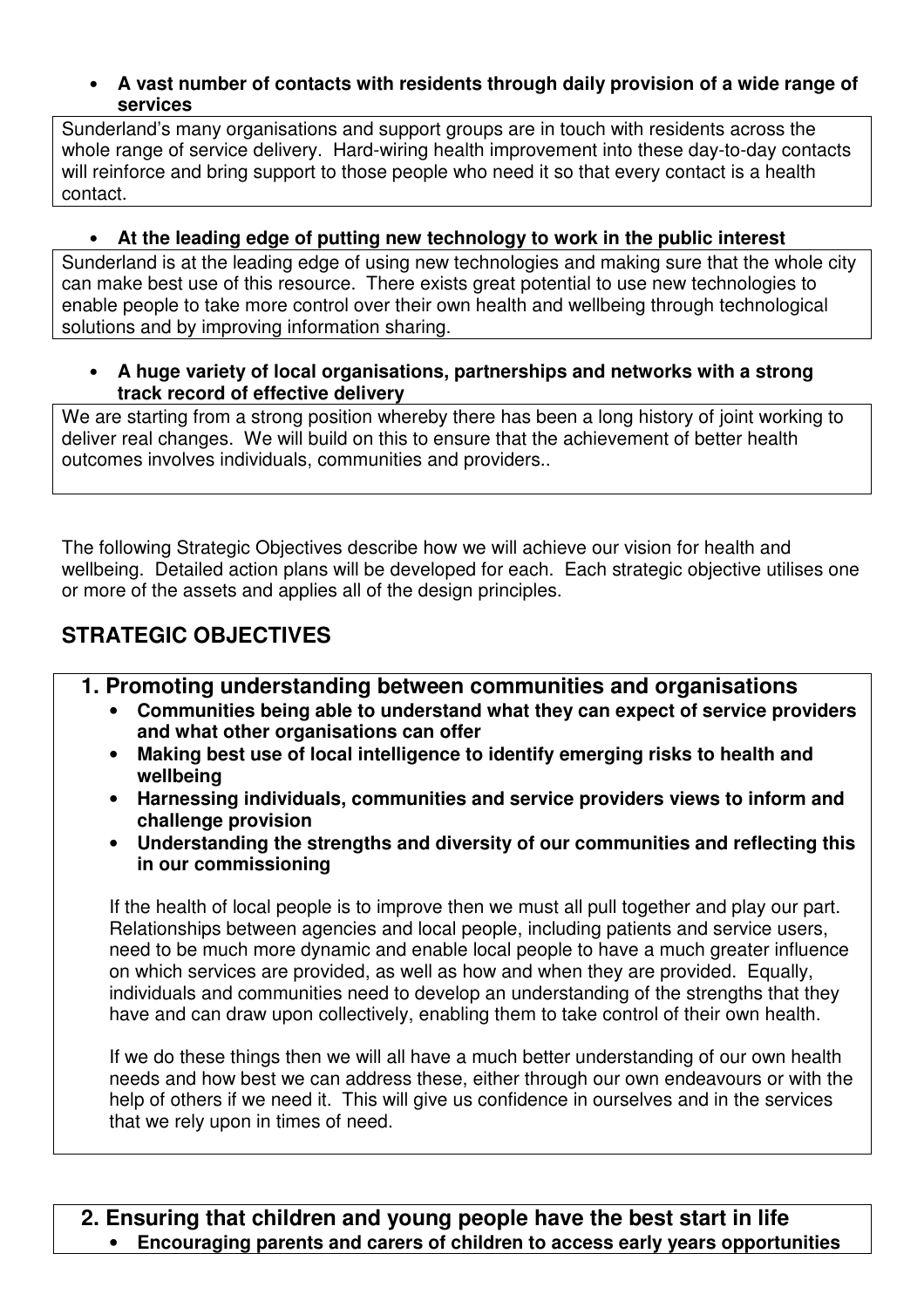#### • **A vast number of contacts with residents through daily provision of a wide range of services**

Sunderland's many organisations and support groups are in touch with residents across the whole range of service delivery. Hard-wiring health improvement into these day-to-day contacts will reinforce and bring support to those people who need it so that every contact is a health contact.

# • **At the leading edge of putting new technology to work in the public interest**

Sunderland is at the leading edge of using new technologies and making sure that the whole city can make best use of this resource. There exists great potential to use new technologies to enable people to take more control over their own health and wellbeing through technological solutions and by improving information sharing.

#### • **A huge variety of local organisations, partnerships and networks with a strong track record of effective delivery**

We are starting from a strong position whereby there has been a long history of joint working to deliver real changes. We will build on this to ensure that the achievement of better health outcomes involves individuals, communities and providers..

The following Strategic Objectives describe how we will achieve our vision for health and wellbeing. Detailed action plans will be developed for each. Each strategic objective utilises one or more of the assets and applies all of the design principles.

# **STRATEGIC OBJECTIVES**

- **1. Promoting understanding between communities and organisations** 
	- **Communities being able to understand what they can expect of service providers and what other organisations can offer**
	- **Making best use of local intelligence to identify emerging risks to health and wellbeing**
	- **Harnessing individuals, communities and service providers views to inform and challenge provision**
	- **Understanding the strengths and diversity of our communities and reflecting this in our commissioning**

If the health of local people is to improve then we must all pull together and play our part. Relationships between agencies and local people, including patients and service users, need to be much more dynamic and enable local people to have a much greater influence on which services are provided, as well as how and when they are provided. Equally, individuals and communities need to develop an understanding of the strengths that they have and can draw upon collectively, enabling them to take control of their own health.

If we do these things then we will all have a much better understanding of our own health needs and how best we can address these, either through our own endeavours or with the help of others if we need it. This will give us confidence in ourselves and in the services that we rely upon in times of need.

**2. Ensuring that children and young people have the best start in life**  • **Encouraging parents and carers of children to access early years opportunities**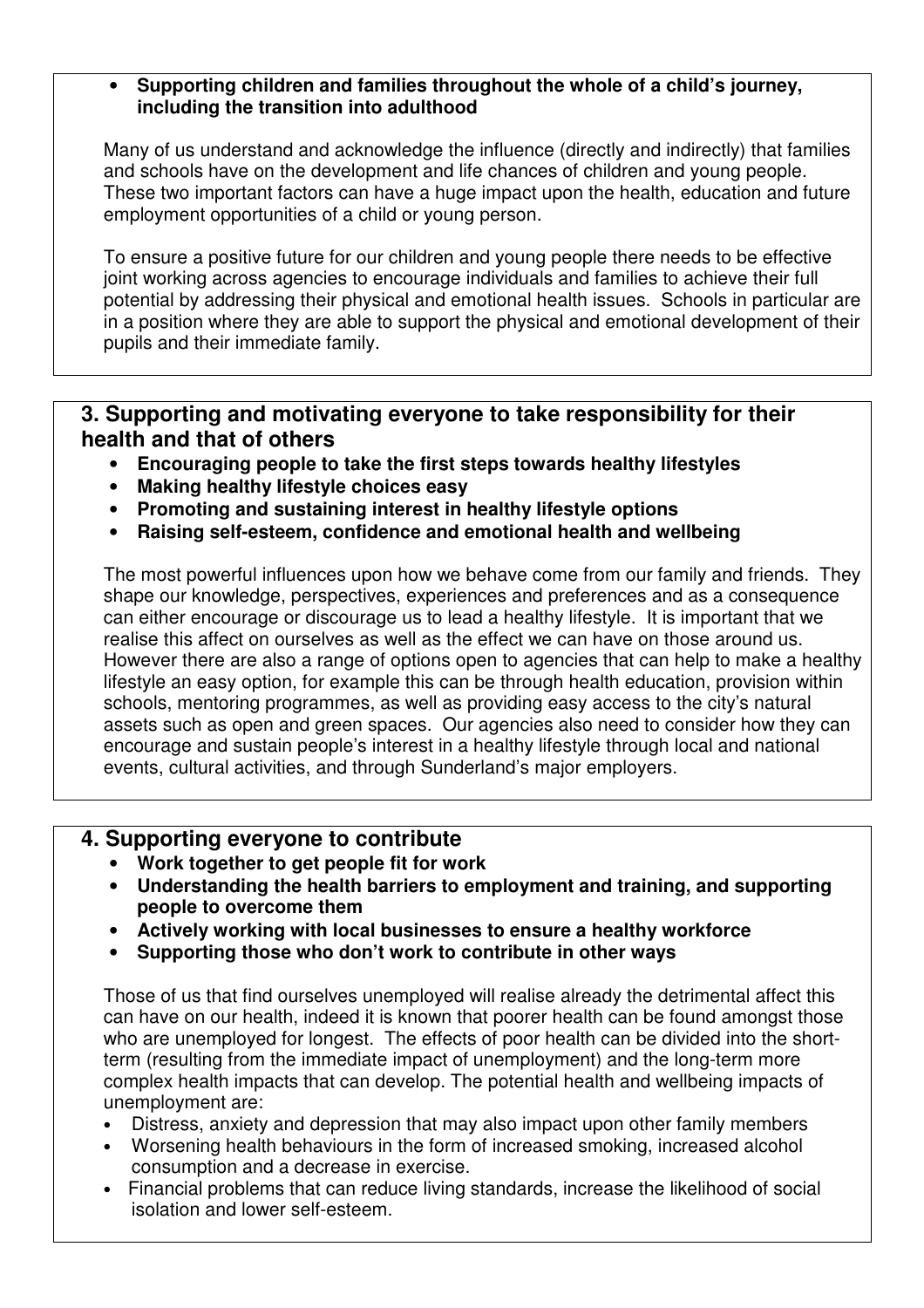#### • **Supporting children and families throughout the whole of a child's journey, including the transition into adulthood**

Many of us understand and acknowledge the influence (directly and indirectly) that families and schools have on the development and life chances of children and young people. These two important factors can have a huge impact upon the health, education and future employment opportunities of a child or young person.

To ensure a positive future for our children and young people there needs to be effective joint working across agencies to encourage individuals and families to achieve their full potential by addressing their physical and emotional health issues. Schools in particular are in a position where they are able to support the physical and emotional development of their pupils and their immediate family.

### **3. Supporting and motivating everyone to take responsibility for their health and that of others**

- **Encouraging people to take the first steps towards healthy lifestyles**
- **Making healthy lifestyle choices easy**
- **Promoting and sustaining interest in healthy lifestyle options**
- **Raising self-esteem, confidence and emotional health and wellbeing**

The most powerful influences upon how we behave come from our family and friends. They shape our knowledge, perspectives, experiences and preferences and as a consequence can either encourage or discourage us to lead a healthy lifestyle. It is important that we realise this affect on ourselves as well as the effect we can have on those around us. However there are also a range of options open to agencies that can help to make a healthy lifestyle an easy option, for example this can be through health education, provision within schools, mentoring programmes, as well as providing easy access to the city's natural assets such as open and green spaces. Our agencies also need to consider how they can encourage and sustain people's interest in a healthy lifestyle through local and national events, cultural activities, and through Sunderland's major employers.

# **4. Supporting everyone to contribute**

- **Work together to get people fit for work**
- **Understanding the health barriers to employment and training, and supporting people to overcome them**
- **Actively working with local businesses to ensure a healthy workforce**
- **Supporting those who don't work to contribute in other ways**

Those of us that find ourselves unemployed will realise already the detrimental affect this can have on our health, indeed it is known that poorer health can be found amongst those who are unemployed for longest. The effects of poor health can be divided into the shortterm (resulting from the immediate impact of unemployment) and the long-term more complex health impacts that can develop. The potential health and wellbeing impacts of unemployment are:

- Distress, anxiety and depression that may also impact upon other family members
- Worsening health behaviours in the form of increased smoking, increased alcohol consumption and a decrease in exercise.
- Financial problems that can reduce living standards, increase the likelihood of social isolation and lower self-esteem.